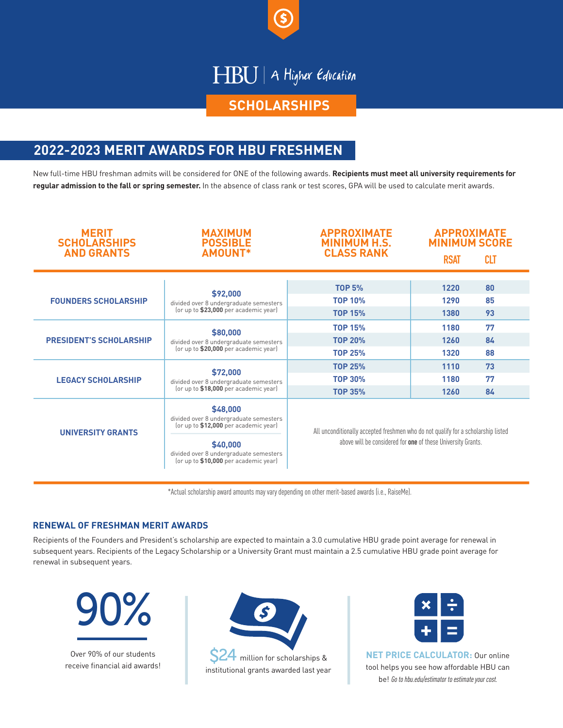

## HBU | A Higher Education

#### **SCHOLARSHIPS**

### **2022-2023 MERIT AWARDS FOR HBU FRESHMEN**

New full-time HBU freshman admits will be considered for ONE of the following awards. **Recipients must meet all university requirements for regular admission to the fall or spring semester.** In the absence of class rank or test scores, GPA will be used to calculate merit awards.

| <b>MERIT</b><br><b>SCHOLARSHIPS</b><br><b>AND GRANTS</b> | <b>MAXIMUM</b><br><b>POSSIBLE</b><br><b>AMOUNT*</b>                                                                                                                                        | <b>APPROXIMATE</b><br><b>MINIMUM H.S.</b><br><b>CLASS RANK</b>                                                                                    | <b>APPROXIMATE</b><br><b>MINIMUM SCORE</b> |            |
|----------------------------------------------------------|--------------------------------------------------------------------------------------------------------------------------------------------------------------------------------------------|---------------------------------------------------------------------------------------------------------------------------------------------------|--------------------------------------------|------------|
|                                                          |                                                                                                                                                                                            |                                                                                                                                                   | <b>RSAT</b>                                | <b>CLT</b> |
|                                                          |                                                                                                                                                                                            |                                                                                                                                                   |                                            |            |
| <b>FOUNDERS SCHOLARSHIP</b>                              | \$92,000<br>divided over 8 undergraduate semesters<br>(or up to \$23,000 per academic year)                                                                                                | <b>TOP 5%</b>                                                                                                                                     | 1220                                       | 80         |
|                                                          |                                                                                                                                                                                            | <b>TOP 10%</b>                                                                                                                                    | 1290                                       | 85         |
|                                                          |                                                                                                                                                                                            | <b>TOP 15%</b>                                                                                                                                    | 1380                                       | 93         |
| <b>PRESIDENT'S SCHOLARSHIP</b>                           | \$80,000<br>divided over 8 undergraduate semesters<br>(or up to \$20,000 per academic year)                                                                                                | <b>TOP 15%</b>                                                                                                                                    | 1180                                       | 77         |
|                                                          |                                                                                                                                                                                            | <b>TOP 20%</b>                                                                                                                                    | 1260                                       | 84         |
|                                                          |                                                                                                                                                                                            | <b>TOP 25%</b>                                                                                                                                    | 1320                                       | 88         |
| <b>LEGACY SCHOLARSHIP</b>                                | \$72,000<br>divided over 8 undergraduate semesters<br>(or up to \$18,000 per academic year)                                                                                                | <b>TOP 25%</b>                                                                                                                                    | 1110                                       | 73         |
|                                                          |                                                                                                                                                                                            | <b>TOP 30%</b>                                                                                                                                    | 1180                                       | 77         |
|                                                          |                                                                                                                                                                                            | <b>TOP 35%</b>                                                                                                                                    | 1260                                       | 84         |
| <b>UNIVERSITY GRANTS</b>                                 | \$48,000<br>divided over 8 undergraduate semesters<br>(or up to \$12,000 per academic year)<br>\$40,000<br>divided over 8 undergraduate semesters<br>(or up to \$10,000 per academic year) | All unconditionally accepted freshmen who do not qualify for a scholarship listed<br>above will be considered for one of these University Grants. |                                            |            |

\*Actual scholarship award amounts may vary depending on other merit-based awards (i.e., RaiseMe).

#### **RENEWAL OF FRESHMAN MERIT AWARDS**

Recipients of the Founders and President's scholarship are expected to maintain a 3.0 cumulative HBU grade point average for renewal in subsequent years. Recipients of the Legacy Scholarship or a University Grant must maintain a 2.5 cumulative HBU grade point average for renewal in subsequent years.



Over 90% of our students receive financial aid awards!







**NET PRICE CALCULATOR:** Our online tool helps you see how affordable HBU can be! Go to hbu.edu/estimator to estimate your cost.